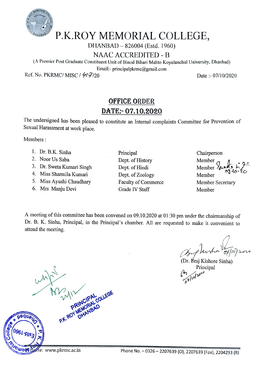

## P.K.ROY MEMORIAL COLLEGE,

DHANBAD-826004 (Estd. 1960)

NAAC ACCREDITED - B

(A Premier Post Graduate Constituent Unit of Binod Bihari Mahto Koyalanchal University, Dhanbad)

Email:- principalpkrme@gmail.com

Ref. No. PKRMC/ MISC /  $6.97/20$  Date:-07/10/2020

## OFFICE ORDER DATE: 07.10.2020

The undersigned has been pleased to constitute an Internal complaints Commitee for Prevention of Sexual Harassment at work place.

Members:

- 1. Dr. B.K. Sinha Principal
- 
- 3. Dr. Sweta Kumari Singh
- 4. Miss Sharmila Kumari
- 5. Miss Ayushi Chaudhary
- 6. Mrs Manju Devi
- 1. Dr. B.K. Sinha Chairperson<br>
2. Noor Us Saba Chairperson<br>
2. Noor Us Saba Chairperson<br>
Chairperson<br>
Chairperson<br>
Chairperson<br>
Chairperson<br>
Chairperson Dept. of History<br>Dept. of Hindi Dept. of Zoology Faculty of Commerce Grade IV Staff Member

Member Member Member Member Secretary

A meeting of this committee has been convened on 09.10.2020 at 01:30 pm under the chairmanship of Dr. B. K. Sinha, Principal, in the Principal's chamber. All are requested to make it convenient to attend the meeting.

Dr. Braj Kishore Sinha) Principal  $55/10^{20}$ 

0961-p23 X<br>Chromowork Exte: www.pkrmc.ac.in Phone No.

peque<sub>U</sub>

P.K.  $R^{\sim}$ 

 $M^{\prime\prime}$ 

 $\frac{1}{2}$ 

DA MAD

 $CR$